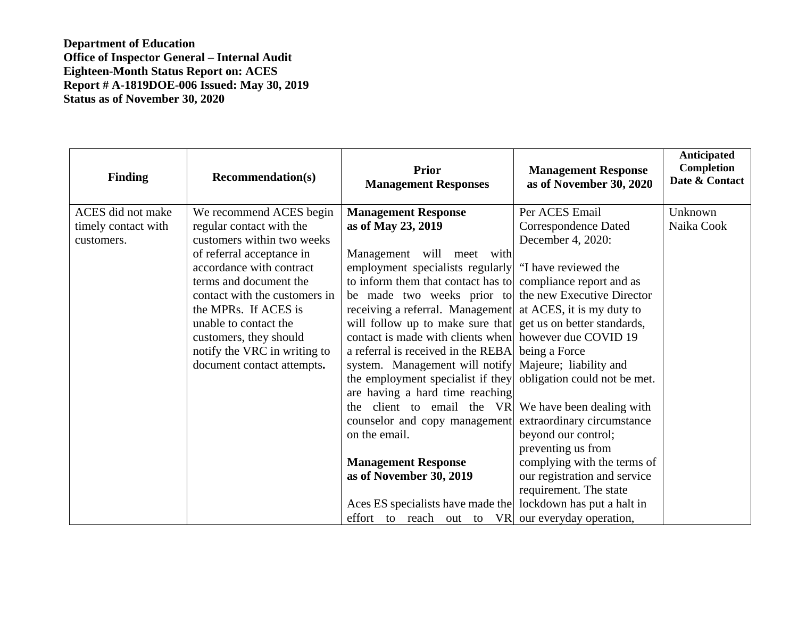**Department of Education Office of Inspector General – Internal Audit Eighteen-Month Status Report on: ACES Report # A-1819DOE-006 Issued: May 30, 2019 Status as of November 30, 2020** 

| <b>Finding</b>      | <b>Recommendation(s)</b>      | <b>Prior</b><br><b>Management Responses</b>                  | <b>Management Response</b><br>as of November 30, 2020 | <b>Anticipated</b><br><b>Completion</b><br>Date & Contact |
|---------------------|-------------------------------|--------------------------------------------------------------|-------------------------------------------------------|-----------------------------------------------------------|
| ACES did not make   | We recommend ACES begin       | <b>Management Response</b>                                   | Per ACES Email                                        | Unknown                                                   |
| timely contact with | regular contact with the      | as of May 23, 2019                                           | <b>Correspondence Dated</b>                           | Naika Cook                                                |
| customers.          | customers within two weeks    |                                                              | December 4, 2020:                                     |                                                           |
|                     | of referral acceptance in     | Management will meet with                                    |                                                       |                                                           |
|                     | accordance with contract      | employment specialists regularly                             | "I have reviewed the                                  |                                                           |
|                     | terms and document the        | to inform them that contact has to compliance report and as  |                                                       |                                                           |
|                     | contact with the customers in | be made two weeks prior to                                   | the new Executive Director                            |                                                           |
|                     | the MPRs. If ACES is          | receiving a referral. Management                             | at ACES, it is my duty to                             |                                                           |
|                     | unable to contact the         | will follow up to make sure that get us on better standards, |                                                       |                                                           |
|                     | customers, they should        | contact is made with clients when however due COVID 19       |                                                       |                                                           |
|                     | notify the VRC in writing to  | a referral is received in the REBA                           | being a Force                                         |                                                           |
|                     | document contact attempts.    | system. Management will notify                               | Majeure; liability and                                |                                                           |
|                     |                               | the employment specialist if they                            | obligation could not be met.                          |                                                           |
|                     |                               | are having a hard time reaching                              |                                                       |                                                           |
|                     |                               | the client to email the VR                                   | We have been dealing with                             |                                                           |
|                     |                               | counselor and copy management                                | extraordinary circumstance                            |                                                           |
|                     |                               | on the email.                                                | beyond our control;                                   |                                                           |
|                     |                               |                                                              | preventing us from                                    |                                                           |
|                     |                               | <b>Management Response</b>                                   | complying with the terms of                           |                                                           |
|                     |                               | as of November 30, 2019                                      | our registration and service                          |                                                           |
|                     |                               |                                                              | requirement. The state                                |                                                           |
|                     |                               | Aces ES specialists have made the                            | lockdown has put a halt in                            |                                                           |
|                     |                               | effort to reach out to<br><b>VR</b>                          | our everyday operation,                               |                                                           |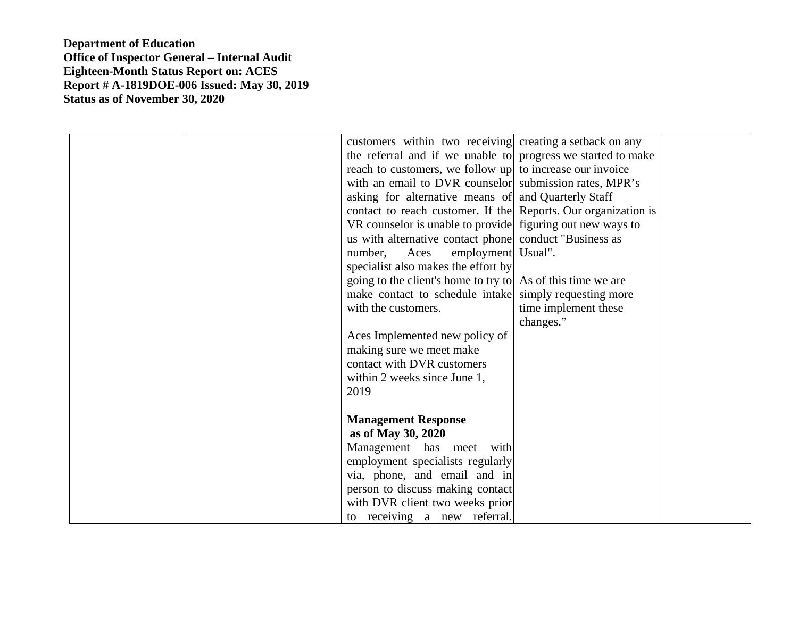**Department of Education Office of Inspector General – Internal Audit Eighteen-Month Status Report on: ACES Report # A-1819DOE-006 Issued: May 30, 2019 Status as of November 30, 2020** 

| customers within two receiving creating a set back on any      |                      |
|----------------------------------------------------------------|----------------------|
| the referral and if we unable to progress we started to make   |                      |
| reach to customers, we follow up to increase our invoice       |                      |
| with an email to DVR counselor submission rates, MPR's         |                      |
| asking for alternative means of and Quarterly Staff            |                      |
| contact to reach customer. If the Reports. Our organization is |                      |
| VR counselor is unable to provide figuring out new ways to     |                      |
| us with alternative contact phone conduct "Business as         |                      |
| employment Usual".<br>number,<br>Aces                          |                      |
| specialist also makes the effort by                            |                      |
| going to the client's home to try to As of this time we are    |                      |
| make contact to schedule intake simply requesting more         |                      |
| with the customers.                                            | time implement these |
|                                                                | changes."            |
| Aces Implemented new policy of                                 |                      |
| making sure we meet make                                       |                      |
| contact with DVR customers                                     |                      |
| within 2 weeks since June 1,                                   |                      |
| 2019                                                           |                      |
|                                                                |                      |
| <b>Management Response</b>                                     |                      |
| as of May 30, 2020                                             |                      |
| Management has meet with                                       |                      |
| employment specialists regularly                               |                      |
| via, phone, and email and in                                   |                      |
| person to discuss making contact                               |                      |
| with DVR client two weeks prior                                |                      |
| to receiving a new referral.                                   |                      |